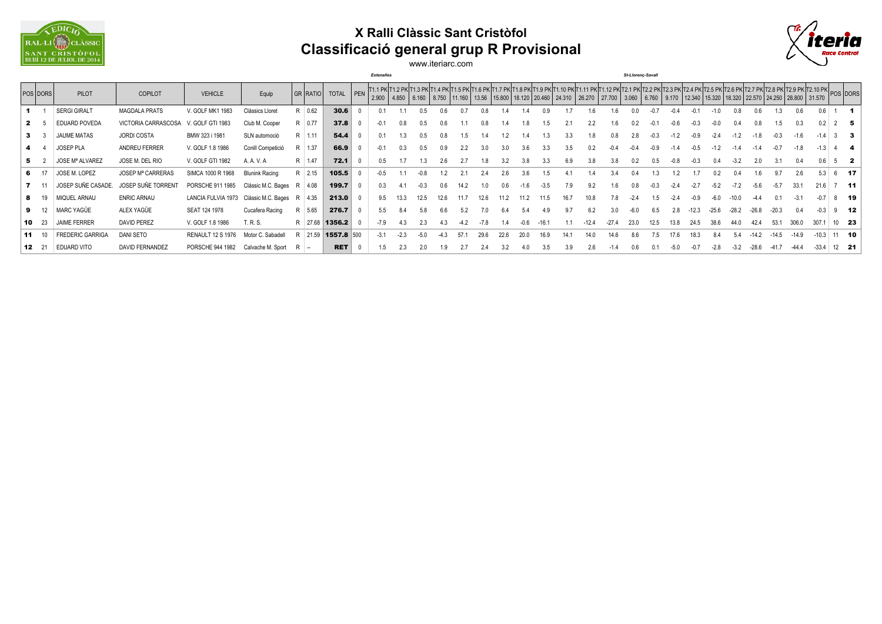

## **X Ralli Clàssic Sant Cristòfol Classificació general grup R Provisional**



www.iteriarc.com

*Estenalles St-Llorenç-Savall*

|    | POS DORS     | <b>PILOT</b>            | <b>COPILOT</b>       | <b>VEHICLE</b>                               | Equip                 | GR RATIO TOTAL |            |        |        |        |      |       |      |      |      |      |     |      | 2.900   4.850   6.160   8.750   11.160   13.56   15.800   18.120   20.460   24.310   26.270   27.700   3.060   6.760   9.170   12.340   15.320   18.320   25.570   24.250   28.800   31.570 |      |      |         |         |       |         |         |         |         |                |               |
|----|--------------|-------------------------|----------------------|----------------------------------------------|-----------------------|----------------|------------|--------|--------|--------|------|-------|------|------|------|------|-----|------|---------------------------------------------------------------------------------------------------------------------------------------------------------------------------------------------|------|------|---------|---------|-------|---------|---------|---------|---------|----------------|---------------|
|    |              | <b>SERGI GIRALT</b>     | <b>MAGDALA PRATS</b> | V. GOLF MK1 1983                             | Clássics Lloret       | R 0.62         | 30.6       |        |        |        |      |       |      |      |      |      |     |      |                                                                                                                                                                                             |      |      |         |         |       |         |         |         |         |                |               |
|    |              | EDUARD POVEDA           | VICTORIA CARRASCOSA  | V. GOLF GTI 1983                             | Club M. Cooper        | R 0.77         | 37.8       |        |        |        |      |       |      |      |      |      |     |      |                                                                                                                                                                                             |      |      |         |         |       |         |         | 0.3     |         |                |               |
|    |              | JAUME MATAS             | <b>JORDI COSTA</b>   | BMW 323 i 1981                               | SLN automoció         | $R$   1.11     | 54.4       | 0.1    |        | 0.5    |      |       |      |      |      |      |     | 1.8  | 0.8                                                                                                                                                                                         | 2.8  |      |         |         |       |         |         | $-1.6$  |         |                |               |
|    |              | JOSEP PLA               | ANDREU FERRER        | V. GOLF 1.8 1986                             | Conill Competició     | R 1.37         | 66.9       |        |        | 0.5    |      |       |      |      |      |      | 3.5 |      |                                                                                                                                                                                             |      |      |         |         |       |         |         |         | $-1.3$  |                |               |
| 5. |              | <b>JOSE Mª ALVAREZ</b>  | JOSE M. DEL RIO      | V. GOLF GTI 1982                             | A. A. V. A            | R 1.47         | 72.1       |        |        |        |      |       |      |      |      |      |     | 3.8  |                                                                                                                                                                                             |      |      |         |         |       |         |         | 0.4     |         |                |               |
|    | 6 17         | JOSE M. LOPEZ           | JOSEP Mª CARRERAS    | SIMCA 1000 R 1968                            | <b>Blunink Racing</b> | R 2.15         | 105.5      | -0.5   |        | -0.8   |      |       |      | 2.6  | 3.6  |      |     | 1.4  |                                                                                                                                                                                             | 0.4  |      |         |         |       |         |         | 2.6     | 5.3     |                | 6 17          |
|    |              | JOSEP SUÑE CASADE.      | JOSEP SUÑE TORRENT   | PORSCHE 911 1985                             | Clássic M.C. Bages    | R 4.08         | 199.7      |        |        | $-0.3$ |      |       |      |      |      |      | 7.9 | 9.2  | 1.6                                                                                                                                                                                         | 0.8. |      |         |         |       |         |         | 33.1    | 21.6    |                | $-11$         |
|    | 8 19         | MIQUEL ARNAU            | <b>ENRIC ARNAU</b>   | LANCIA FULVIA 1973 Clássic M.C. Bages R 4.35 |                       |                | 213.0      | 9.5    | 13.3   | 12.5   | 12.6 | 11 7  | 12 K |      |      |      |     | 10.8 | 7.8                                                                                                                                                                                         | -24  |      |         |         |       |         |         |         |         |                | 19            |
|    | $9 \t12$     | MARC YAGÜE              | ALEX YAGÜE           | SEAT 124 1978                                | Cucafera Racing       | R 5.65         | 276.7      | 5.5    | 8.4    | 5.8    | 6.6  | 5.2   |      |      | 5.4  | 4.9  |     | 6.2  | 3.0                                                                                                                                                                                         | -6.0 | 2.8  | $-12.3$ | $-25.6$ | -28.2 | $-26.8$ | $-20.3$ | 0.4     |         |                | - 12          |
|    | <b>10</b> 23 | <b>JAIME FERRER</b>     | <b>DAVID PEREZ</b>   | V. GOLF 1.8 1986                             | T. R. S.              | R 27.68        | 1356.2     | $-7.9$ |        | 2.3    |      |       |      |      |      |      |     |      |                                                                                                                                                                                             |      |      |         |         |       |         |         |         |         |                | $10 \quad 23$ |
|    | <b>11</b> 10 | <b>FREDERIC GARRIGA</b> | DANI SETO            | RENAULT 12 S 1976                            | Motor C. Sabadell     | R 21.59        | 1557.8 500 | $-3.1$ | $-2.3$ | -50    |      | .57 ° | 29 R | 22 R | 20.0 | 16.9 | 141 | 14.0 | 14.6                                                                                                                                                                                        | 8.6  | 16 K |         |         | 54    |         | $-14.5$ | $-14.9$ | $-10.3$ |                | 11 10         |
|    | 12 21        | <b>EDUARD VITO</b>      | DAVID FERNANDEZ      | PORSCHE 944 1982 Calvache M. Sport R -       |                       |                | <b>RET</b> |        | 2.3    |        |      |       |      |      |      |      | 3.9 | 2.6  |                                                                                                                                                                                             | 0.6  |      |         |         |       | $-28.6$ | $-41.7$ | $-44.4$ | $-33.4$ | $12$ <b>21</b> |               |